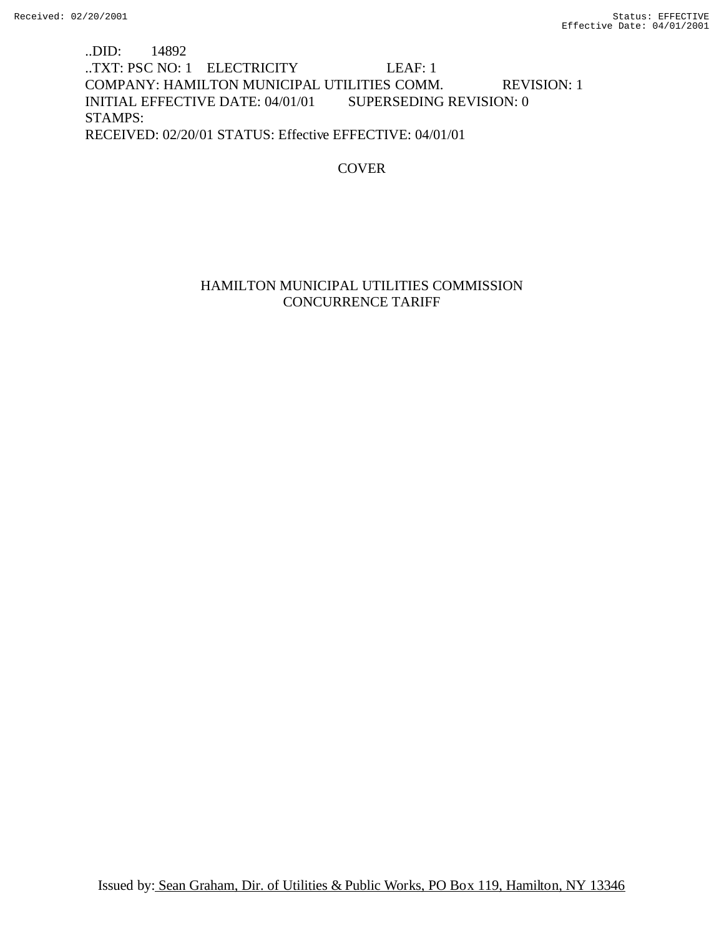## ..DID: 14892 ..TXT: PSC NO: 1 ELECTRICITY LEAF: 1 COMPANY: HAMILTON MUNICIPAL UTILITIES COMM. REVISION: 1 INITIAL EFFECTIVE DATE: 04/01/01 SUPERSEDING REVISION: 0 STAMPS: RECEIVED: 02/20/01 STATUS: Effective EFFECTIVE: 04/01/01

## **COVER**

## HAMILTON MUNICIPAL UTILITIES COMMISSION CONCURRENCE TARIFF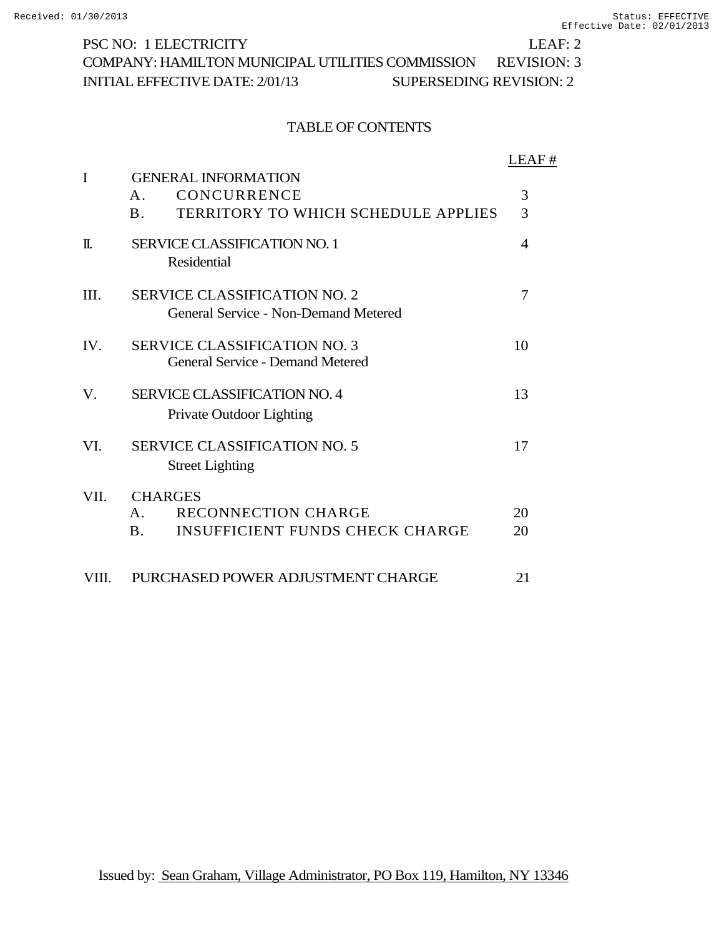PSC NO: 1 ELECTRICITY LEAF: 2 COMPANY: HAMILTON MUNICIPAL UTILITIES COMMISSION REVISION: 3 INITIAL EFFECTIVE DATE: 2/01/13 SUPERSEDING REVISION: 2

## TABLE OF CONTENTS

|       |                                                          | LEAF#          |
|-------|----------------------------------------------------------|----------------|
| I     | <b>GENERAL INFORMATION</b>                               |                |
|       | CONCURRENCE<br>A <sub>1</sub>                            | 3              |
|       | <b>TERRITORY TO WHICH SCHEDULE APPLIES</b><br><b>B</b> . | 3              |
| $\Pi$ | <b>SERVICE CLASSIFICATION NO. 1</b>                      | $\overline{4}$ |
|       | Residential                                              |                |
| III.  | <b>SERVICE CLASSIFICATION NO. 2</b>                      | 7              |
|       | General Service - Non-Demand Metered                     |                |
| IV.   | <b>SERVICE CLASSIFICATION NO. 3</b>                      | 10             |
|       | <b>General Service - Demand Metered</b>                  |                |
| V.    | <b>SERVICE CLASSIFICATION NO. 4</b>                      | 13             |
|       | <b>Private Outdoor Lighting</b>                          |                |
| VI.   | <b>SERVICE CLASSIFICATION NO. 5</b>                      | 17             |
|       | <b>Street Lighting</b>                                   |                |
| VII.  | <b>CHARGES</b>                                           |                |
|       | <b>RECONNECTION CHARGE</b><br>$\mathbf{A}$               | 20             |
|       | <b>INSUFFICIENT FUNDS CHECK CHARGE</b><br><b>B.</b>      | 20             |
|       |                                                          |                |
| VIII. | PURCHASED POWER ADJUSTMENT CHARGE                        | 21             |

Issued by: Sean Graham, Village Administrator, PO Box 119, Hamilton, NY 13346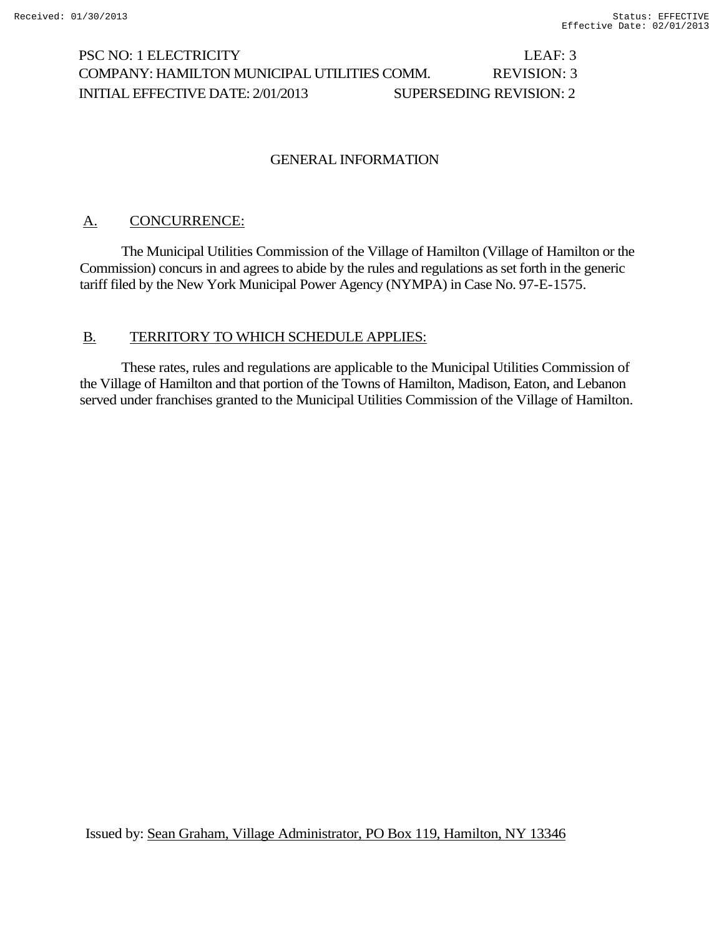# PSC NO: 1 ELECTRICITY LEAF: 3 COMPANY: HAMILTON MUNICIPAL UTILITIES COMM. REVISION: 3 INITIAL EFFECTIVE DATE: 2/01/2013 SUPERSEDING REVISION: 2

## GENERAL INFORMATION

## A. CONCURRENCE:

The Municipal Utilities Commission of the Village of Hamilton (Village of Hamilton or the Commission) concurs in and agrees to abide by the rules and regulations as set forth in the generic tariff filed by the New York Municipal Power Agency (NYMPA) in Case No. 97-E-1575.

## B. TERRITORY TO WHICH SCHEDULE APPLIES:

These rates, rules and regulations are applicable to the Municipal Utilities Commission of the Village of Hamilton and that portion of the Towns of Hamilton, Madison, Eaton, and Lebanon served under franchises granted to the Municipal Utilities Commission of the Village of Hamilton.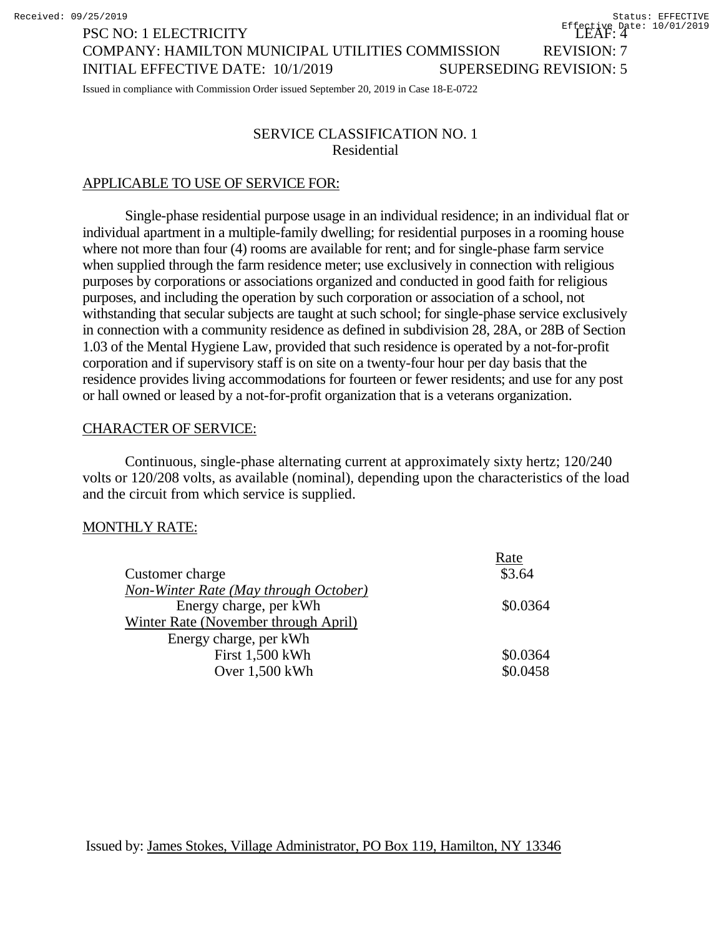# COMPANY: HAMILTON MUNICIPAL UTILITIES COMMISSION REVISION: 7 INITIAL EFFECTIVE DATE: 10/1/2019 SUPERSEDING REVISION: 5

Issued in compliance with Commission Order issued September 20, 2019 in Case 18-E-0722

## SERVICE CLASSIFICATION NO. 1 Residential

#### APPLICABLE TO USE OF SERVICE FOR:

PSC NO: 1 ELECTRICITY

Single-phase residential purpose usage in an individual residence; in an individual flat or individual apartment in a multiple-family dwelling; for residential purposes in a rooming house where not more than four (4) rooms are available for rent; and for single-phase farm service when supplied through the farm residence meter; use exclusively in connection with religious purposes by corporations or associations organized and conducted in good faith for religious purposes, and including the operation by such corporation or association of a school, not withstanding that secular subjects are taught at such school; for single-phase service exclusively in connection with a community residence as defined in subdivision 28, 28A, or 28B of Section 1.03 of the Mental Hygiene Law, provided that such residence is operated by a not-for-profit corporation and if supervisory staff is on site on a twenty-four hour per day basis that the residence provides living accommodations for fourteen or fewer residents; and use for any post or hall owned or leased by a not-for-profit organization that is a veterans organization.

#### CHARACTER OF SERVICE:

Continuous, single-phase alternating current at approximately sixty hertz; 120/240 volts or 120/208 volts, as available (nominal), depending upon the characteristics of the load and the circuit from which service is supplied.

#### MONTHLY RATE:

|                                       | Rate     |
|---------------------------------------|----------|
| Customer charge                       | \$3.64   |
| Non-Winter Rate (May through October) |          |
| Energy charge, per kWh                | \$0.0364 |
| Winter Rate (November through April)  |          |
| Energy charge, per kWh                |          |
| First 1,500 kWh                       | \$0.0364 |
| Over 1,500 kWh                        | \$0.0458 |
|                                       |          |

Issued by: James Stokes, Village Administrator, PO Box 119, Hamilton, NY 13346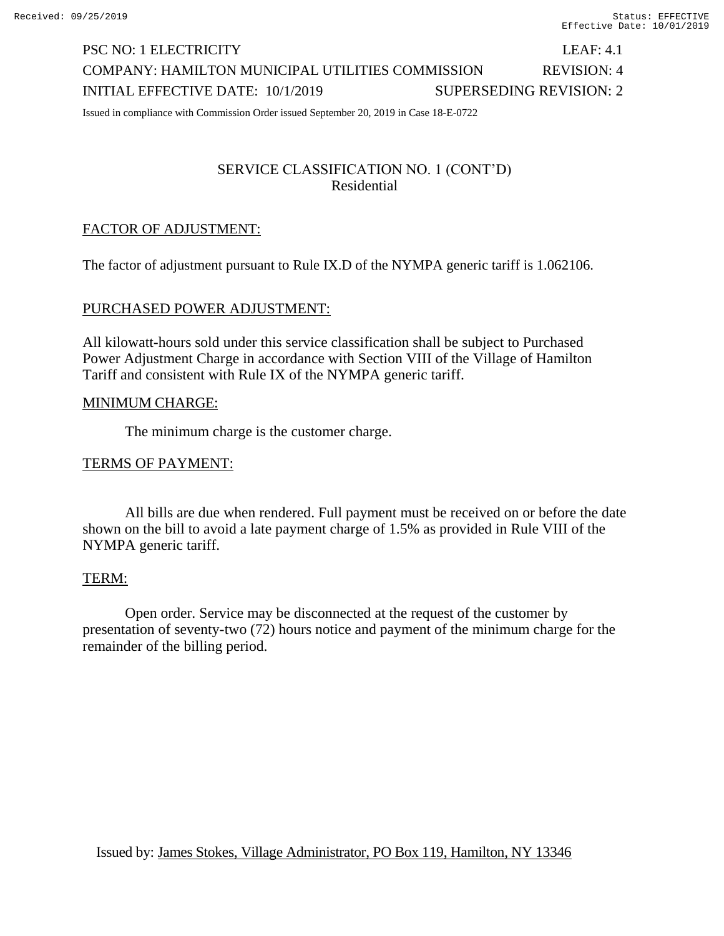# PSC NO: 1 ELECTRICITY LEAF: 4.1 COMPANY: HAMILTON MUNICIPAL UTILITIES COMMISSION REVISION: 4 INITIAL EFFECTIVE DATE: 10/1/2019 SUPERSEDING REVISION: 2

Issued in compliance with Commission Order issued September 20, 2019 in Case 18-E-0722

## SERVICE CLASSIFICATION NO. 1 (CONT'D) Residential

### FACTOR OF ADJUSTMENT:

The factor of adjustment pursuant to Rule IX.D of the NYMPA generic tariff is 1.062106.

#### PURCHASED POWER ADJUSTMENT:

All kilowatt-hours sold under this service classification shall be subject to Purchased Power Adjustment Charge in accordance with Section VIII of the Village of Hamilton Tariff and consistent with Rule IX of the NYMPA generic tariff.

#### MINIMUM CHARGE:

The minimum charge is the customer charge.

#### TERMS OF PAYMENT:

All bills are due when rendered. Full payment must be received on or before the date shown on the bill to avoid a late payment charge of 1.5% as provided in Rule VIII of the NYMPA generic tariff.

#### TERM:

Open order. Service may be disconnected at the request of the customer by presentation of seventy-two (72) hours notice and payment of the minimum charge for the remainder of the billing period.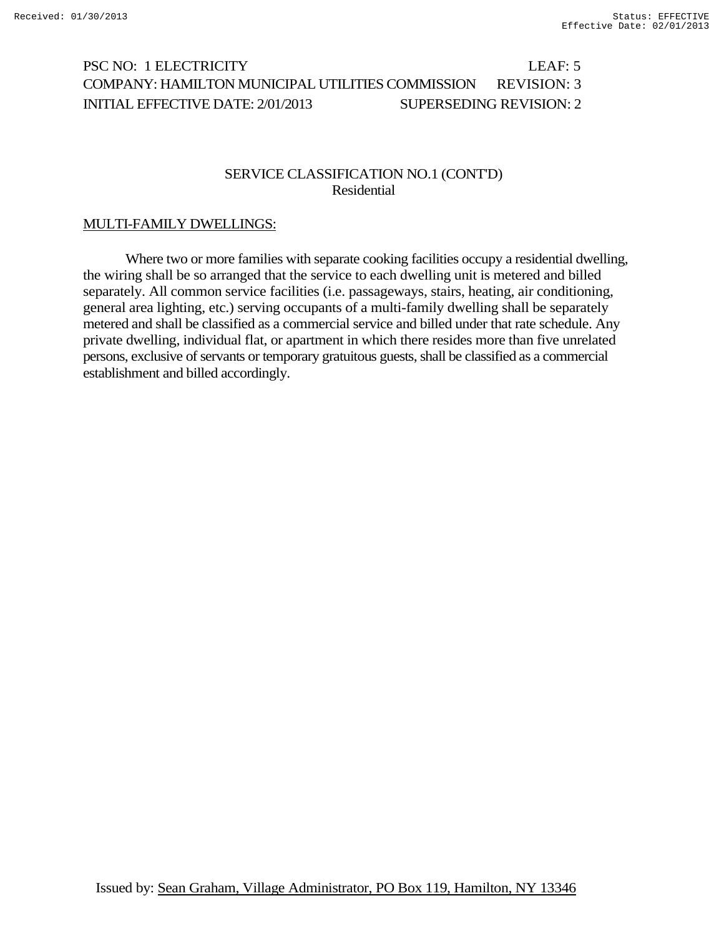# PSC NO: 1 ELECTRICITY LEAF: 5 COMPANY: HAMILTON MUNICIPAL UTILITIES COMMISSION REVISION: 3 INITIAL EFFECTIVE DATE: 2/01/2013 SUPERSEDING REVISION: 2

#### SERVICE CLASSIFICATION NO.1 (CONT'D) Residential

#### MULTI-FAMILY DWELLINGS:

Where two or more families with separate cooking facilities occupy a residential dwelling, the wiring shall be so arranged that the service to each dwelling unit is metered and billed separately. All common service facilities (i.e. passageways, stairs, heating, air conditioning, general area lighting, etc.) serving occupants of a multi-family dwelling shall be separately metered and shall be classified as a commercial service and billed under that rate schedule. Any private dwelling, individual flat, or apartment in which there resides more than five unrelated persons, exclusive of servants or temporary gratuitous guests, shall be classified as a commercial establishment and billed accordingly.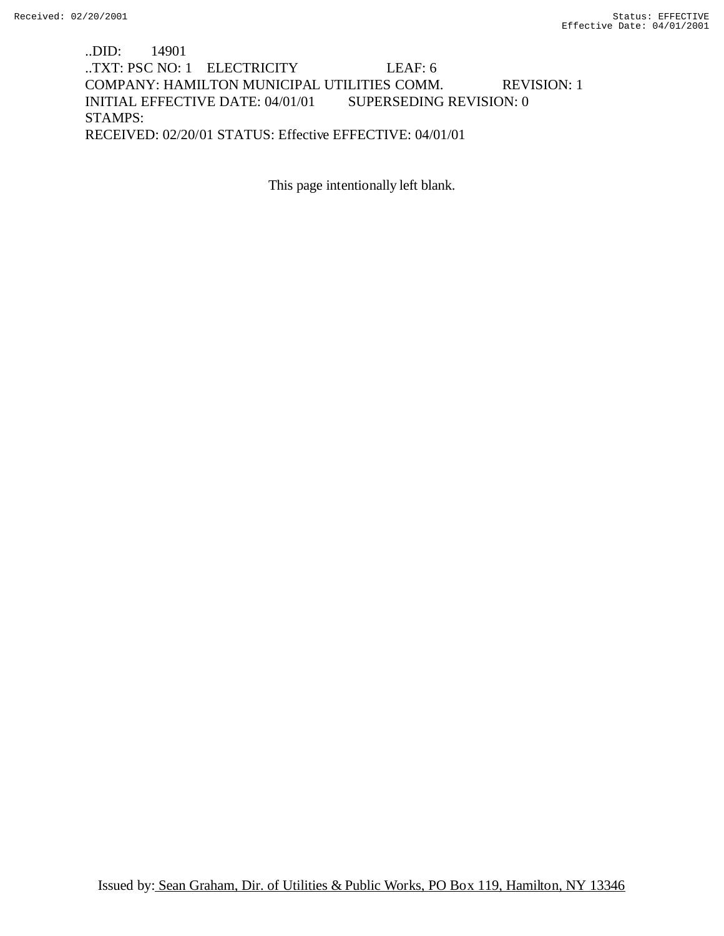## ..DID: 14901 ..TXT: PSC NO: 1 ELECTRICITY LEAF: 6 COMPANY: HAMILTON MUNICIPAL UTILITIES COMM. REVISION: 1 INITIAL EFFECTIVE DATE: 04/01/01 SUPERSEDING REVISION: 0 STAMPS: RECEIVED: 02/20/01 STATUS: Effective EFFECTIVE: 04/01/01

This page intentionally left blank.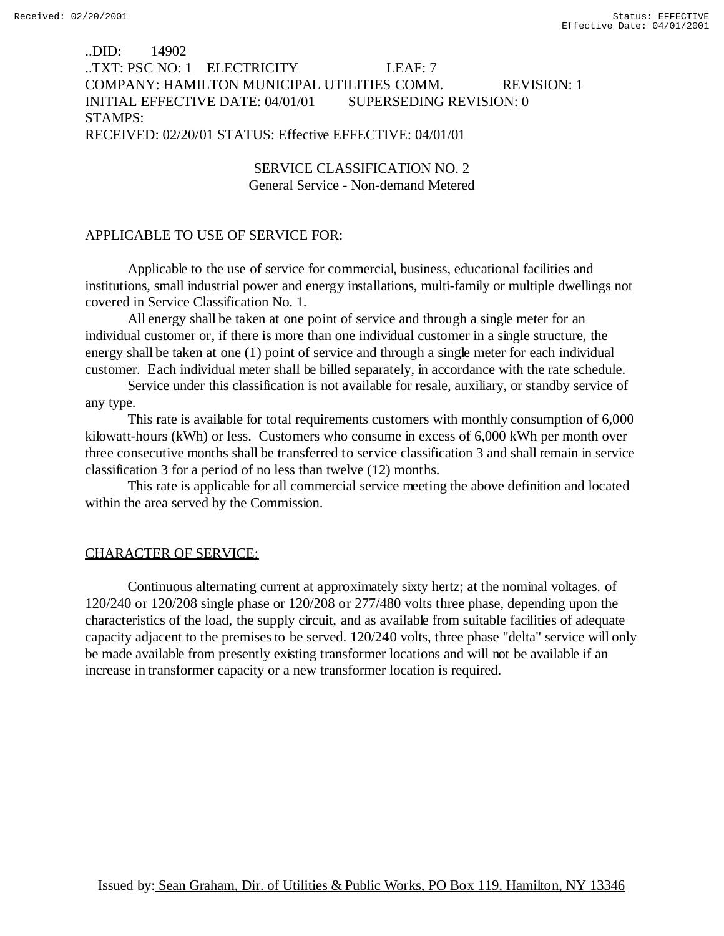## ..DID: 14902 ..TXT: PSC NO: 1 ELECTRICITY LEAF: 7 COMPANY: HAMILTON MUNICIPAL UTILITIES COMM. REVISION: 1 INITIAL EFFECTIVE DATE: 04/01/01 SUPERSEDING REVISION: 0 STAMPS: RECEIVED: 02/20/01 STATUS: Effective EFFECTIVE: 04/01/01

SERVICE CLASSIFICATION NO. 2 General Service - Non-demand Metered

#### APPLICABLE TO USE OF SERVICE FOR:

Applicable to the use of service for commercial, business, educational facilities and institutions, small industrial power and energy installations, multi-family or multiple dwellings not covered in Service Classification No. 1.

All energy shall be taken at one point of service and through a single meter for an individual customer or, if there is more than one individual customer in a single structure, the energy shall be taken at one (1) point of service and through a single meter for each individual customer. Each individual meter shall be billed separately, in accordance with the rate schedule.

Service under this classification is not available for resale, auxiliary, or standby service of any type.

This rate is available for total requirements customers with monthly consumption of 6,000 kilowatt-hours (kWh) or less. Customers who consume in excess of 6,000 kWh per month over three consecutive months shall be transferred to service classification 3 and shall remain in service classification 3 for a period of no less than twelve (12) months.

This rate is applicable for all commercial service meeting the above definition and located within the area served by the Commission.

#### CHARACTER OF SERVICE:

Continuous alternating current at approximately sixty hertz; at the nominal voltages. of 120/240 or 120/208 single phase or 120/208 or 277/480 volts three phase, depending upon the characteristics of the load, the supply circuit, and as available from suitable facilities of adequate capacity adjacent to the premises to be served. 120/240 volts, three phase "delta" service will only be made available from presently existing transformer locations and will not be available if an increase in transformer capacity or a new transformer location is required.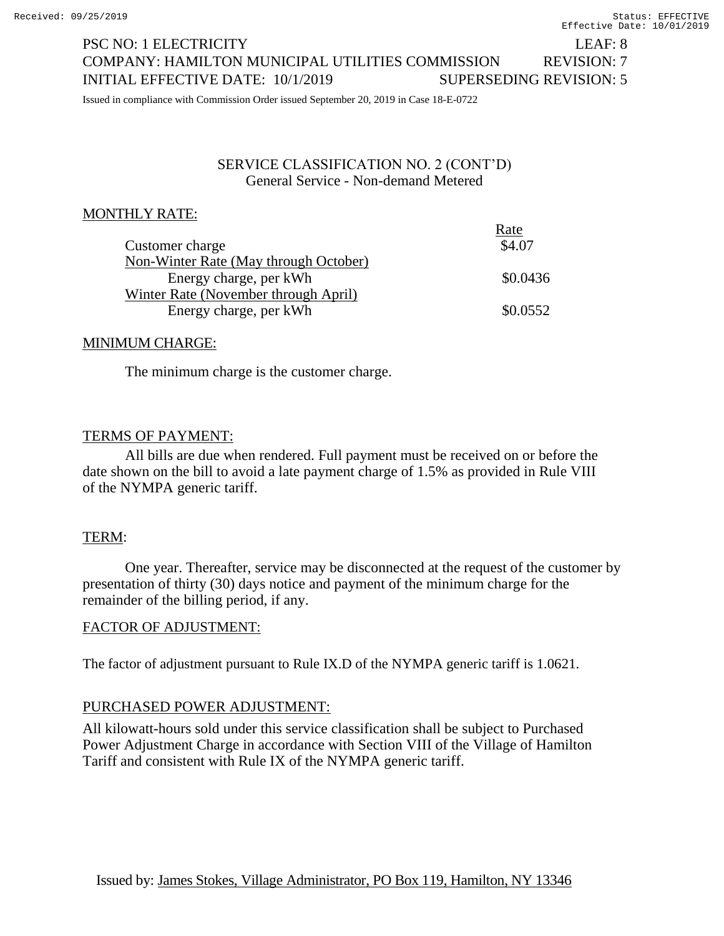# PSC NO: 1 ELECTRICITY LEAF: 8 COMPANY: HAMILTON MUNICIPAL UTILITIES COMMISSION REVISION: 7 INITIAL EFFECTIVE DATE: 10/1/2019 SUPERSEDING REVISION: 5

Issued in compliance with Commission Order issued September 20, 2019 in Case 18-E-0722

#### SERVICE CLASSIFICATION NO. 2 (CONT'D) General Service - Non-demand Metered

 $R_{\rm max}$ 

## MONTHLY RATE:

|                                       | rale     |
|---------------------------------------|----------|
| Customer charge                       | \$4.07   |
| Non-Winter Rate (May through October) |          |
| Energy charge, per kWh                | \$0.0436 |
| Winter Rate (November through April)  |          |
| Energy charge, per kWh                | \$0.0552 |
|                                       |          |

## MINIMUM CHARGE:

The minimum charge is the customer charge.

## TERMS OF PAYMENT:

All bills are due when rendered. Full payment must be received on or before the date shown on the bill to avoid a late payment charge of 1.5% as provided in Rule VIII of the NYMPA generic tariff.

## TERM:

One year. Thereafter, service may be disconnected at the request of the customer by presentation of thirty (30) days notice and payment of the minimum charge for the remainder of the billing period, if any.

## FACTOR OF ADJUSTMENT:

The factor of adjustment pursuant to Rule IX.D of the NYMPA generic tariff is 1.0621.

## PURCHASED POWER ADJUSTMENT:

All kilowatt-hours sold under this service classification shall be subject to Purchased Power Adjustment Charge in accordance with Section VIII of the Village of Hamilton Tariff and consistent with Rule IX of the NYMPA generic tariff.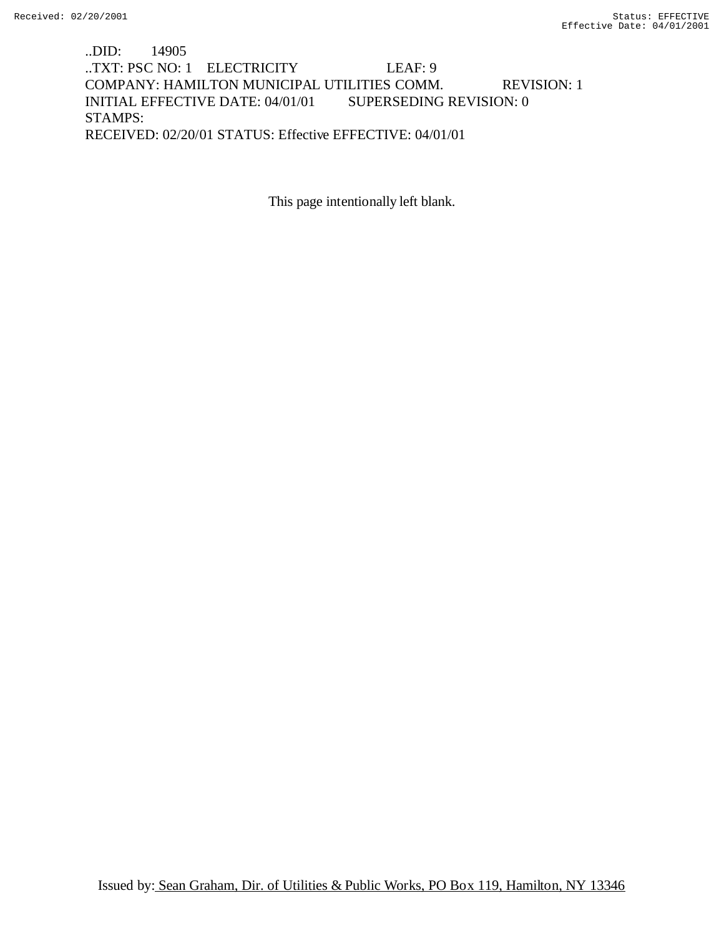..DID: 14905 ..TXT: PSC NO: 1 ELECTRICITY LEAF: 9 COMPANY: HAMILTON MUNICIPAL UTILITIES COMM. REVISION: 1 INITIAL EFFECTIVE DATE: 04/01/01 SUPERSEDING REVISION: 0 STAMPS: RECEIVED: 02/20/01 STATUS: Effective EFFECTIVE: 04/01/01

This page intentionally left blank.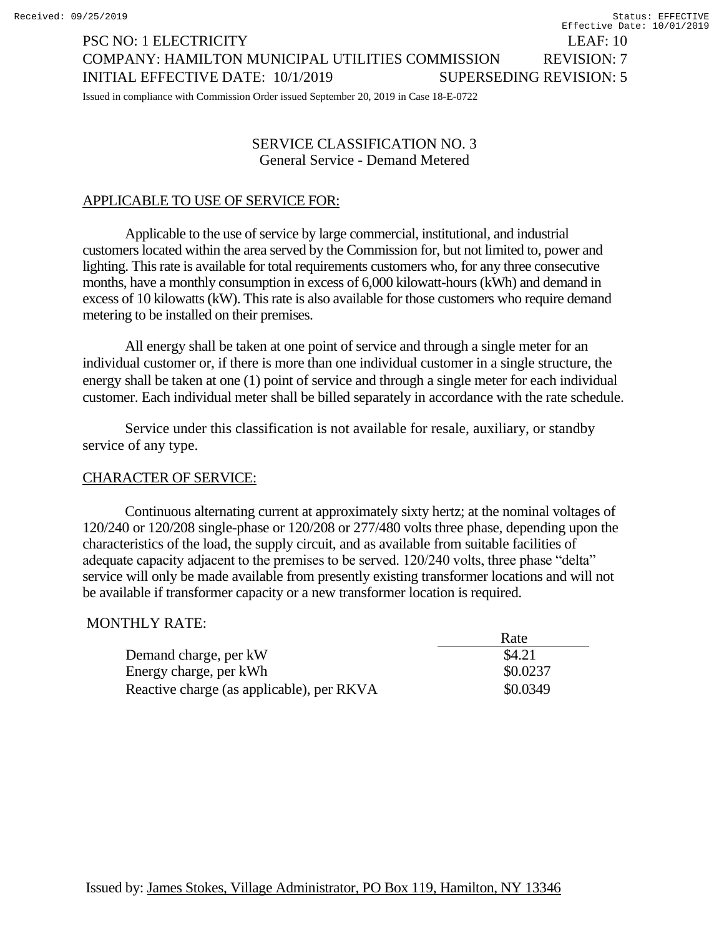PSC NO: 1 ELECTRICITY LEAF: 10 COMPANY: HAMILTON MUNICIPAL UTILITIES COMMISSION REVISION: 7 INITIAL EFFECTIVE DATE: 10/1/2019 SUPERSEDING REVISION: 5 Effective Date: 10/01/2019

Issued in compliance with Commission Order issued September 20, 2019 in Case 18-E-0722

## SERVICE CLASSIFICATION NO. 3 General Service - Demand Metered

# APPLICABLE TO USE OF SERVICE FOR:

Applicable to the use of service by large commercial, institutional, and industrial customers located within the area served by the Commission for, but not limited to, power and lighting. This rate is available for total requirements customers who, for any three consecutive months, have a monthly consumption in excess of 6,000 kilowatt-hours (kWh) and demand in excess of 10 kilowatts (kW). This rate is also available for those customers who require demand metering to be installed on their premises.

All energy shall be taken at one point of service and through a single meter for an individual customer or, if there is more than one individual customer in a single structure, the energy shall be taken at one (1) point of service and through a single meter for each individual customer. Each individual meter shall be billed separately in accordance with the rate schedule.

Service under this classification is not available for resale, auxiliary, or standby service of any type.

# CHARACTER OF SERVICE:

Continuous alternating current at approximately sixty hertz; at the nominal voltages of 120/240 or 120/208 single-phase or 120/208 or 277/480 volts three phase, depending upon the characteristics of the load, the supply circuit, and as available from suitable facilities of adequate capacity adjacent to the premises to be served. 120/240 volts, three phase "delta" service will only be made available from presently existing transformer locations and will not be available if transformer capacity or a new transformer location is required.

## MONTHLY RATE:

|                                           | Rate     |
|-------------------------------------------|----------|
| Demand charge, per kW                     | \$4.21   |
| Energy charge, per kWh                    | \$0.0237 |
| Reactive charge (as applicable), per RKVA | \$0.0349 |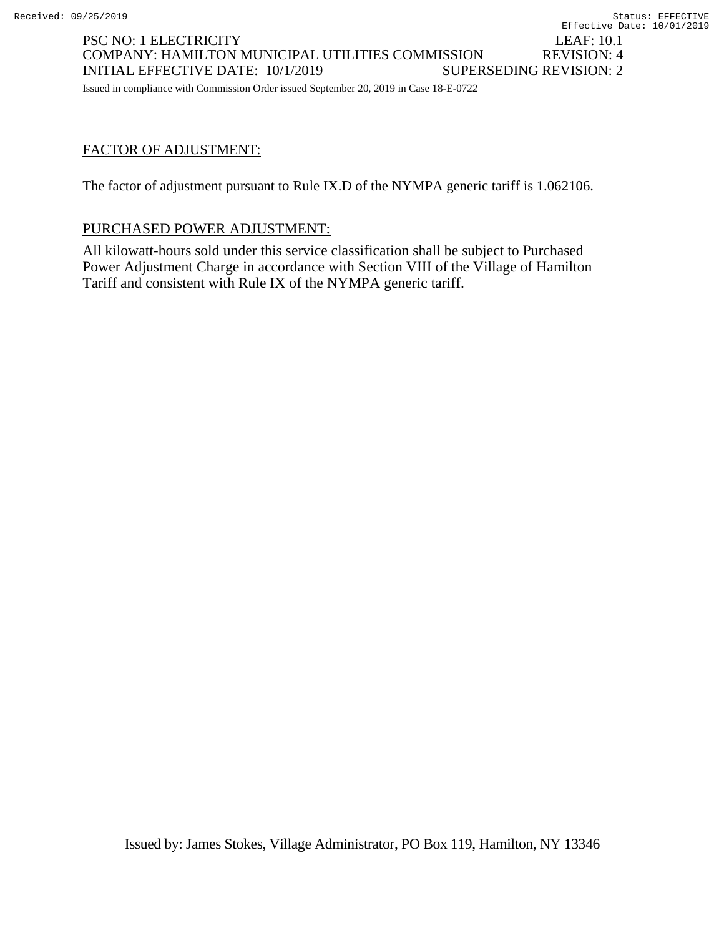INITIAL EFFECTIVE DATE: 10/1/2019 SUPERSEDING REVISION: 2 Issued in compliance with Commission Order issued September 20, 2019 in Case 18-E-0722

## FACTOR OF ADJUSTMENT:

The factor of adjustment pursuant to Rule IX.D of the NYMPA generic tariff is 1.062106.

COMPANY: HAMILTON MUNICIPAL UTILITIES COMMISSION REVISION: 4

## PURCHASED POWER ADJUSTMENT:

All kilowatt-hours sold under this service classification shall be subject to Purchased Power Adjustment Charge in accordance with Section VIII of the Village of Hamilton Tariff and consistent with Rule IX of the NYMPA generic tariff.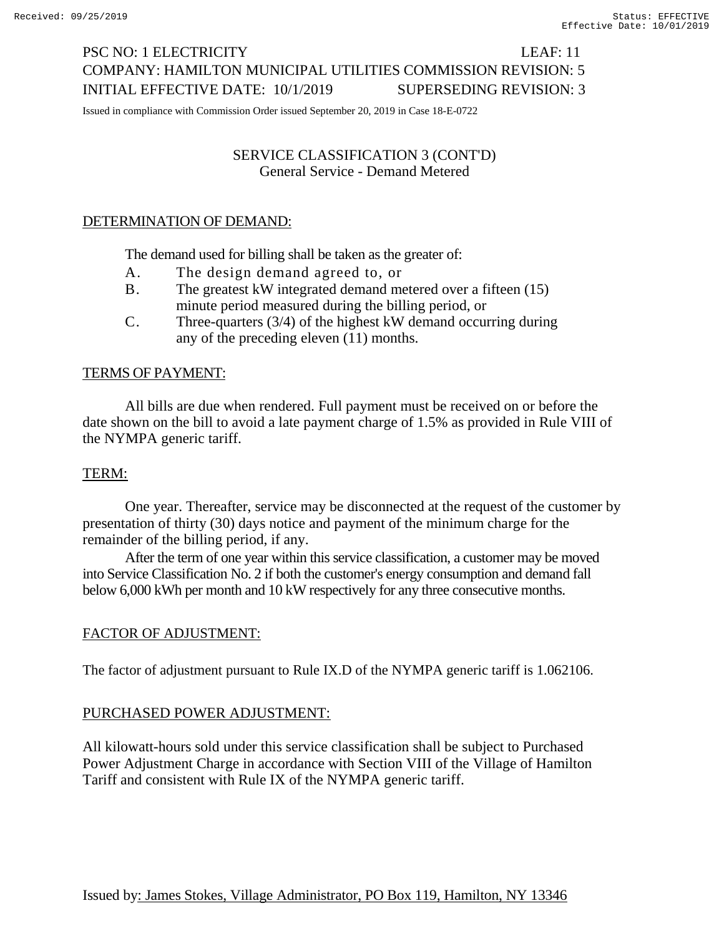# PSC NO: 1 ELECTRICITY LEAF: 11 COMPANY: HAMILTON MUNICIPAL UTILITIES COMMISSION REVISION: 5 INITIAL EFFECTIVE DATE: 10/1/2019 SUPERSEDING REVISION: 3

Issued in compliance with Commission Order issued September 20, 2019 in Case 18-E-0722

# SERVICE CLASSIFICATION 3 (CONT'D) General Service - Demand Metered

# DETERMINATION OF DEMAND:

The demand used for billing shall be taken as the greater of:

- A. The design demand agreed to, or
- B. The greatest kW integrated demand metered over a fifteen (15) minute period measured during the billing period, or
- C. Three-quarters (3/4) of the highest kW demand occurring during any of the preceding eleven (11) months.

# TERMS OF PAYMENT:

All bills are due when rendered. Full payment must be received on or before the date shown on the bill to avoid a late payment charge of 1.5% as provided in Rule VIII of the NYMPA generic tariff.

## TERM:

One year. Thereafter, service may be disconnected at the request of the customer by presentation of thirty (30) days notice and payment of the minimum charge for the remainder of the billing period, if any.

After the term of one year within this service classification, a customer may be moved into Service Classification No. 2 if both the customer's energy consumption and demand fall below 6,000 kWh per month and 10 kW respectively for any three consecutive months.

## FACTOR OF ADJUSTMENT:

The factor of adjustment pursuant to Rule IX.D of the NYMPA generic tariff is 1.062106.

## PURCHASED POWER ADJUSTMENT:

All kilowatt-hours sold under this service classification shall be subject to Purchased Power Adjustment Charge in accordance with Section VIII of the Village of Hamilton Tariff and consistent with Rule IX of the NYMPA generic tariff.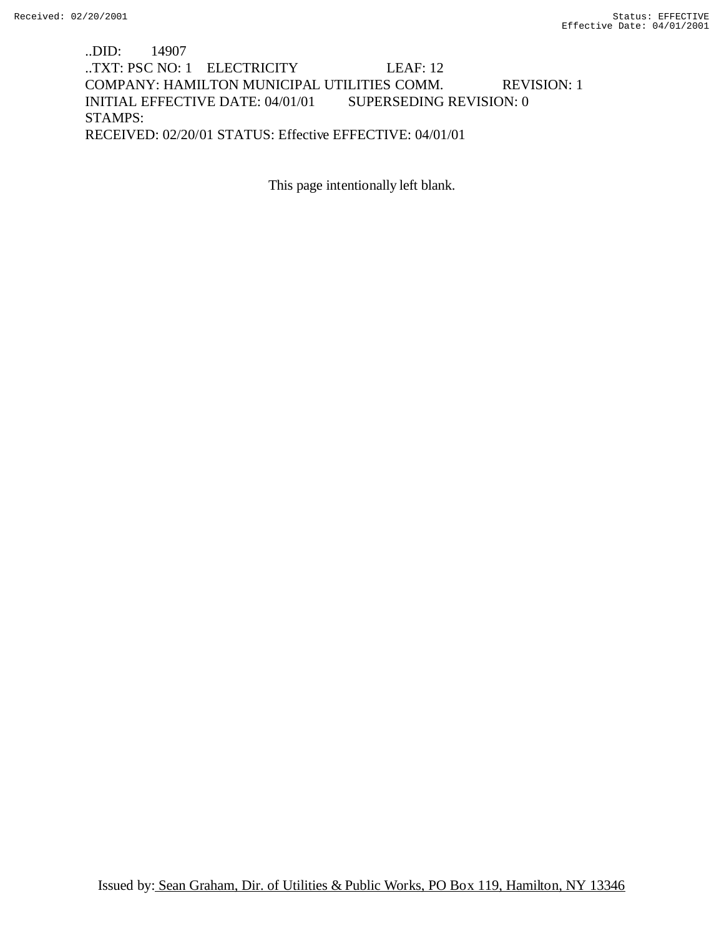## ..DID: 14907 ..TXT: PSC NO: 1 ELECTRICITY LEAF: 12 COMPANY: HAMILTON MUNICIPAL UTILITIES COMM. REVISION: 1 INITIAL EFFECTIVE DATE: 04/01/01 SUPERSEDING REVISION: 0 STAMPS: RECEIVED: 02/20/01 STATUS: Effective EFFECTIVE: 04/01/01

This page intentionally left blank.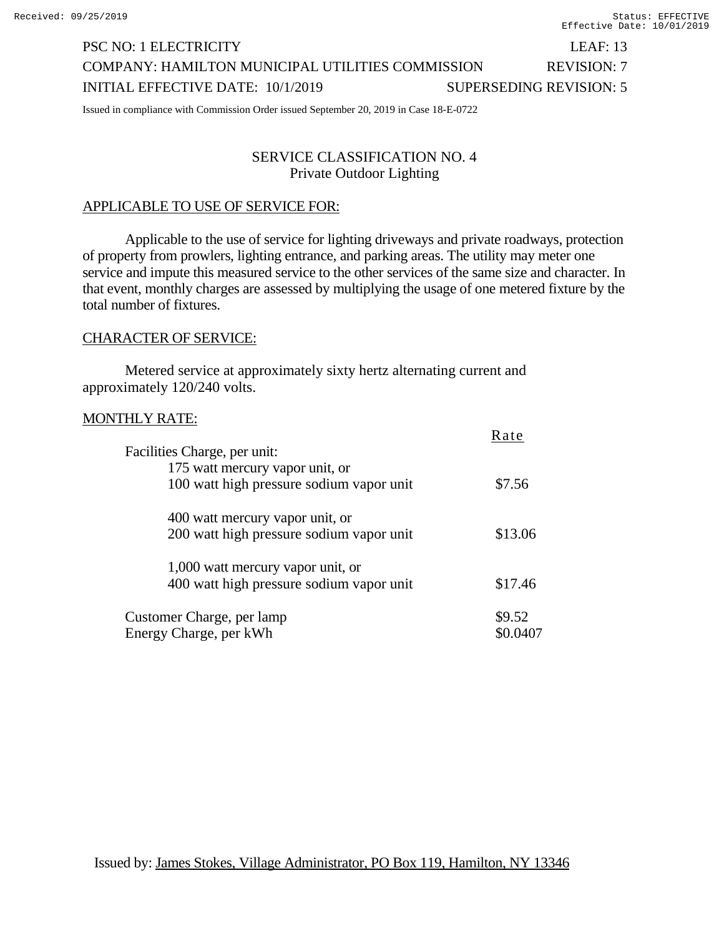# PSC NO: 1 ELECTRICITY LEAF: 13 COMPANY: HAMILTON MUNICIPAL UTILITIES COMMISSION REVISION: 7 INITIAL EFFECTIVE DATE: 10/1/2019 SUPERSEDING REVISION: 5

Issued in compliance with Commission Order issued September 20, 2019 in Case 18-E-0722

## SERVICE CLASSIFICATION NO. 4 Private Outdoor Lighting

#### APPLICABLE TO USE OF SERVICE FOR:

Applicable to the use of service for lighting driveways and private roadways, protection of property from prowlers, lighting entrance, and parking areas. The utility may meter one service and impute this measured service to the other services of the same size and character. In that event, monthly charges are assessed by multiplying the usage of one metered fixture by the total number of fixtures.

 $D_{\text{max}}$ 

#### CHARACTER OF SERVICE:

Metered service at approximately sixty hertz alternating current and approximately 120/240 volts.

#### MONTHLY RATE:

| Facilities Charge, per unit:             | <b>Rate</b> |  |
|------------------------------------------|-------------|--|
| 175 watt mercury vapor unit, or          |             |  |
| 100 watt high pressure sodium vapor unit | \$7.56      |  |
| 400 watt mercury vapor unit, or          |             |  |
| 200 watt high pressure sodium vapor unit | \$13.06     |  |
| 1,000 watt mercury vapor unit, or        |             |  |
| 400 watt high pressure sodium vapor unit | \$17.46     |  |
| Customer Charge, per lamp                | \$9.52      |  |
| Energy Charge, per kWh                   |             |  |
|                                          |             |  |

Issued by: James Stokes, Village Administrator, PO Box 119, Hamilton, NY 13346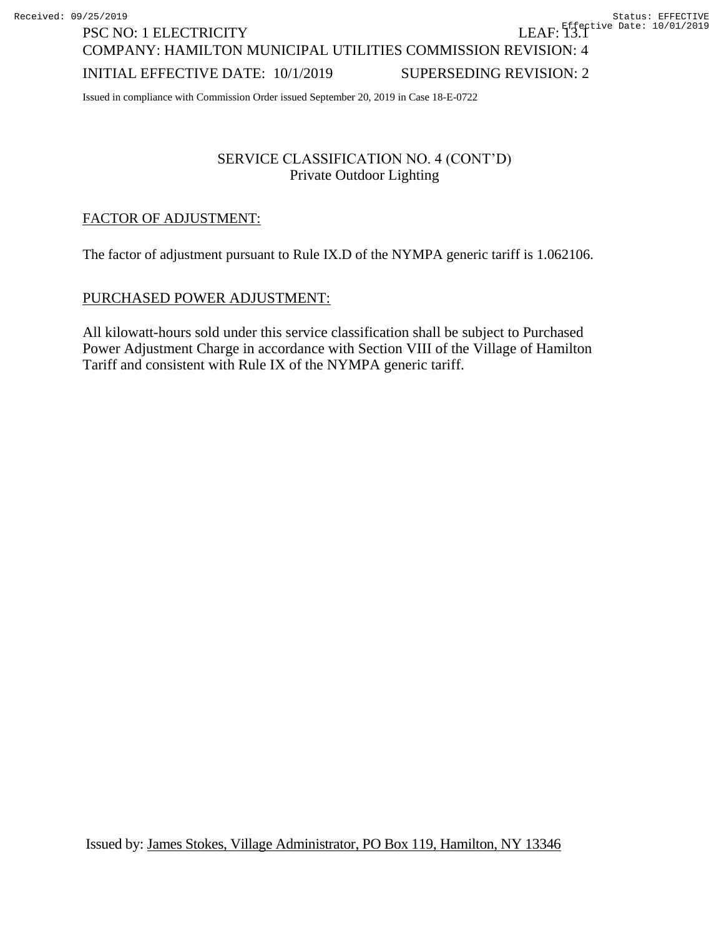COMPANY: HAMILTON MUNICIPAL UTILITIES COMMISSION REVISION: 4

## INITIAL EFFECTIVE DATE: 10/1/2019 SUPERSEDING REVISION: 2

Issued in compliance with Commission Order issued September 20, 2019 in Case 18-E-0722

## SERVICE CLASSIFICATION NO. 4 (CONT'D) Private Outdoor Lighting

## FACTOR OF ADJUSTMENT:

PSC NO: 1 ELECTRICITY

The factor of adjustment pursuant to Rule IX.D of the NYMPA generic tariff is 1.062106.

#### PURCHASED POWER ADJUSTMENT:

All kilowatt-hours sold under this service classification shall be subject to Purchased Power Adjustment Charge in accordance with Section VIII of the Village of Hamilton Tariff and consistent with Rule IX of the NYMPA generic tariff.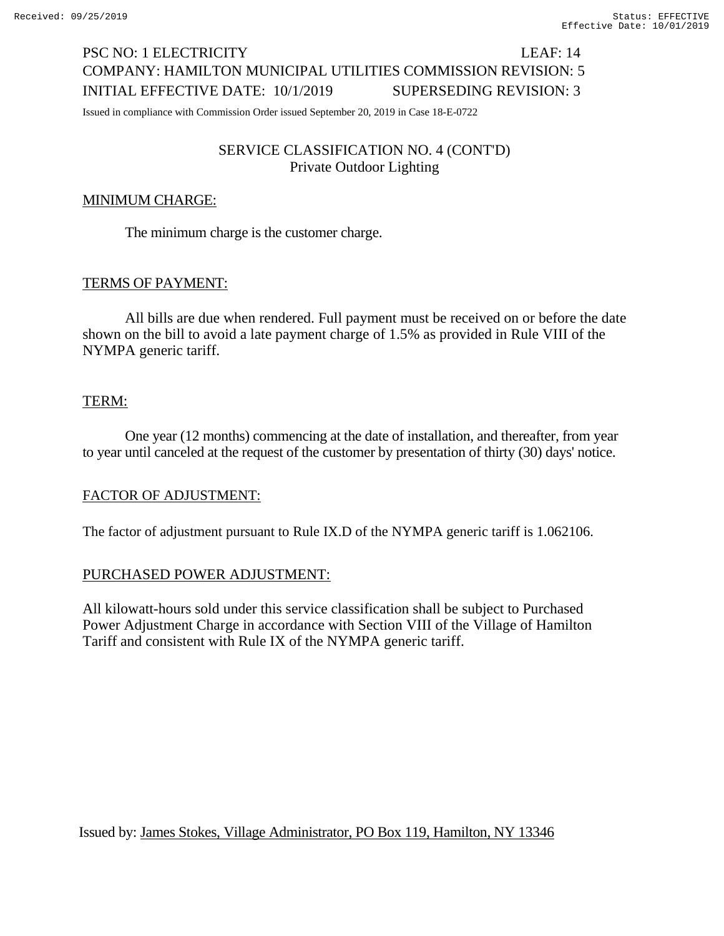# PSC NO: 1 ELECTRICITY LEAF: 14 COMPANY: HAMILTON MUNICIPAL UTILITIES COMMISSION REVISION: 5 INITIAL EFFECTIVE DATE: 10/1/2019 SUPERSEDING REVISION: 3

Issued in compliance with Commission Order issued September 20, 2019 in Case 18-E-0722

## SERVICE CLASSIFICATION NO. 4 (CONT'D) Private Outdoor Lighting

## MINIMUM CHARGE:

The minimum charge is the customer charge.

## TERMS OF PAYMENT:

All bills are due when rendered. Full payment must be received on or before the date shown on the bill to avoid a late payment charge of 1.5% as provided in Rule VIII of the NYMPA generic tariff.

#### TERM:

One year (12 months) commencing at the date of installation, and thereafter, from year to year until canceled at the request of the customer by presentation of thirty (30) days' notice.

#### FACTOR OF ADJUSTMENT:

The factor of adjustment pursuant to Rule IX.D of the NYMPA generic tariff is 1.062106.

#### PURCHASED POWER ADJUSTMENT:

All kilowatt-hours sold under this service classification shall be subject to Purchased Power Adjustment Charge in accordance with Section VIII of the Village of Hamilton Tariff and consistent with Rule IX of the NYMPA generic tariff.

Issued by: James Stokes, Village Administrator, PO Box 119, Hamilton, NY 13346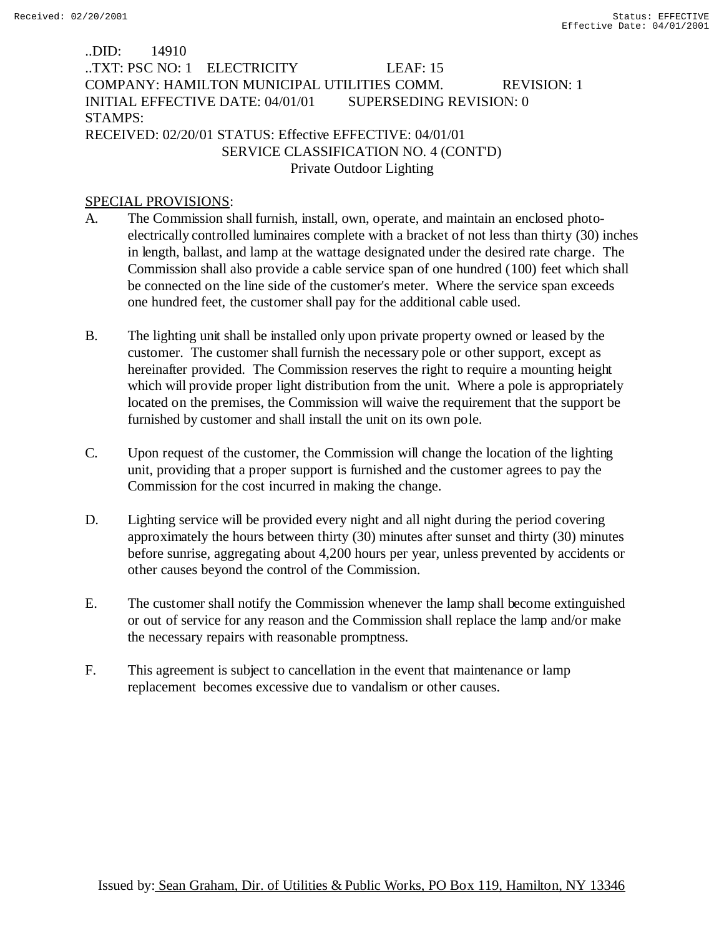## ..DID: 14910 ..TXT: PSC NO: 1 ELECTRICITY LEAF: 15 COMPANY: HAMILTON MUNICIPAL UTILITIES COMM. REVISION: 1 INITIAL EFFECTIVE DATE: 04/01/01 SUPERSEDING REVISION: 0 STAMPS: RECEIVED: 02/20/01 STATUS: Effective EFFECTIVE: 04/01/01 SERVICE CLASSIFICATION NO. 4 (CONT'D)

# Private Outdoor Lighting

#### SPECIAL PROVISIONS:

- A. The Commission shall furnish, install, own, operate, and maintain an enclosed photoelectrically controlled luminaires complete with a bracket of not less than thirty (30) inches in length, ballast, and lamp at the wattage designated under the desired rate charge. The Commission shall also provide a cable service span of one hundred (100) feet which shall be connected on the line side of the customer's meter. Where the service span exceeds one hundred feet, the customer shall pay for the additional cable used.
- B. The lighting unit shall be installed only upon private property owned or leased by the customer. The customer shall furnish the necessary pole or other support, except as hereinafter provided. The Commission reserves the right to require a mounting height which will provide proper light distribution from the unit. Where a pole is appropriately located on the premises, the Commission will waive the requirement that the support be furnished by customer and shall install the unit on its own pole.
- C. Upon request of the customer, the Commission will change the location of the lighting unit, providing that a proper support is furnished and the customer agrees to pay the Commission for the cost incurred in making the change.
- D. Lighting service will be provided every night and all night during the period covering approximately the hours between thirty (30) minutes after sunset and thirty (30) minutes before sunrise, aggregating about 4,200 hours per year, unless prevented by accidents or other causes beyond the control of the Commission.
- E. The customer shall notify the Commission whenever the lamp shall become extinguished or out of service for any reason and the Commission shall replace the lamp and/or make the necessary repairs with reasonable promptness.
- F. This agreement is subject to cancellation in the event that maintenance or lamp replacement becomes excessive due to vandalism or other causes.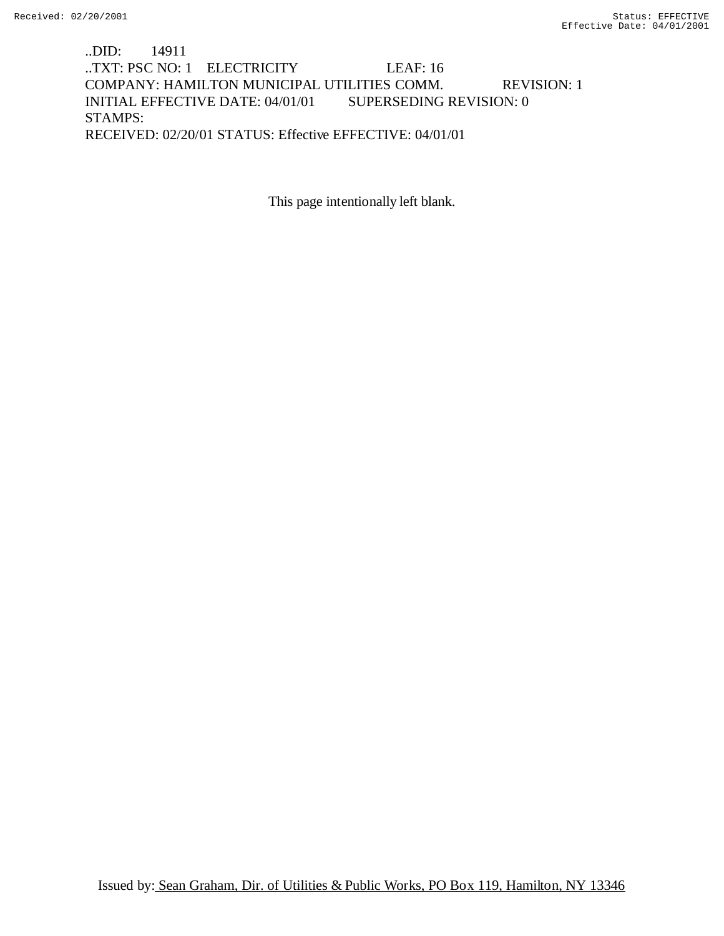..DID: 14911 ..TXT: PSC NO: 1 ELECTRICITY LEAF: 16 COMPANY: HAMILTON MUNICIPAL UTILITIES COMM. REVISION: 1 INITIAL EFFECTIVE DATE: 04/01/01 SUPERSEDING REVISION: 0 STAMPS: RECEIVED: 02/20/01 STATUS: Effective EFFECTIVE: 04/01/01

This page intentionally left blank.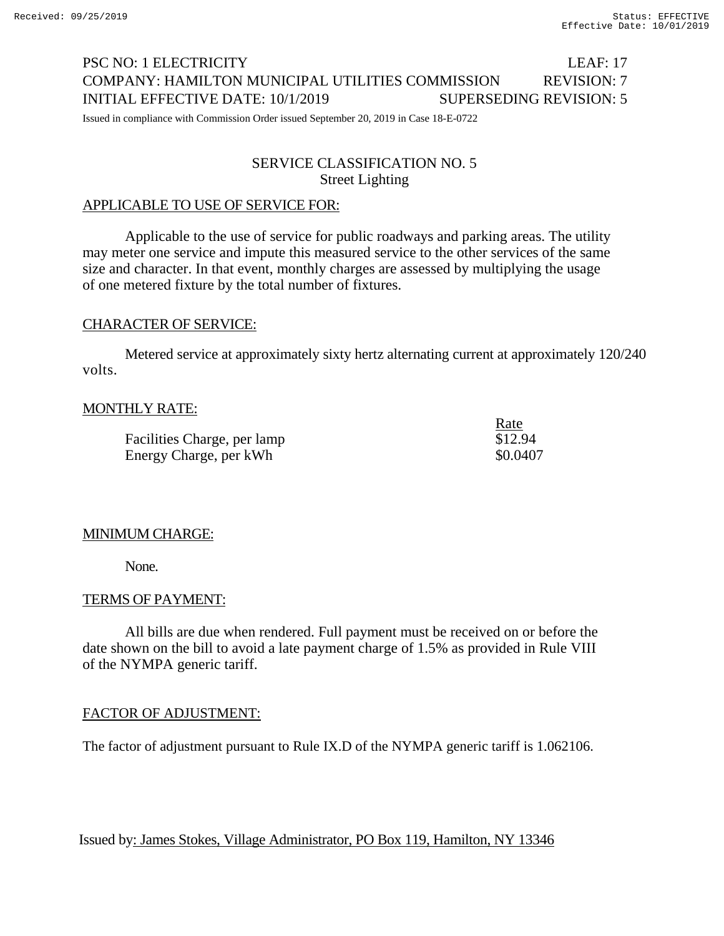# PSC NO: 1 ELECTRICITY LEAF: 17 COMPANY: HAMILTON MUNICIPAL UTILITIES COMMISSION REVISION: 7 INITIAL EFFECTIVE DATE: 10/1/2019 SUPERSEDING REVISION: 5

Issued in compliance with Commission Order issued September 20, 2019 in Case 18-E-0722

## SERVICE CLASSIFICATION NO. 5 Street Lighting

# APPLICABLE TO USE OF SERVICE FOR:

Applicable to the use of service for public roadways and parking areas. The utility may meter one service and impute this measured service to the other services of the same size and character. In that event, monthly charges are assessed by multiplying the usage of one metered fixture by the total number of fixtures.

## CHARACTER OF SERVICE:

Metered service at approximately sixty hertz alternating current at approximately 120/240 volts.

# MONTHLY RATE:

Facilities Charge, per lamp \$12.94 Energy Charge, per kWh  $$0.0407$ 

Rate

## MINIMUM CHARGE:

None.

#### TERMS OF PAYMENT:

All bills are due when rendered. Full payment must be received on or before the date shown on the bill to avoid a late payment charge of 1.5% as provided in Rule VIII of the NYMPA generic tariff.

## FACTOR OF ADJUSTMENT:

The factor of adjustment pursuant to Rule IX.D of the NYMPA generic tariff is 1.062106.

Issued by: James Stokes, Village Administrator, PO Box 119, Hamilton, NY 13346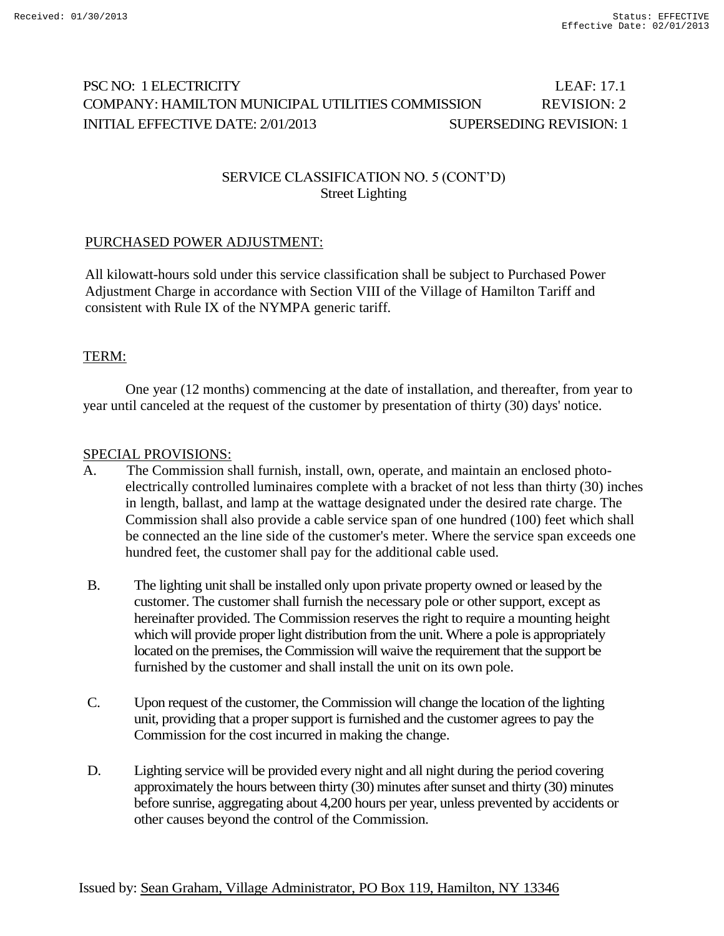# PSC NO: 1 ELECTRICITY LEAF: 17.1 COMPANY: HAMILTON MUNICIPAL UTILITIES COMMISSION REVISION: 2 INITIAL EFFECTIVE DATE: 2/01/2013 SUPERSEDING REVISION: 1

## SERVICE CLASSIFICATION NO. 5 (CONT'D) Street Lighting

## PURCHASED POWER ADJUSTMENT:

All kilowatt-hours sold under this service classification shall be subject to Purchased Power Adjustment Charge in accordance with Section VIII of the Village of Hamilton Tariff and consistent with Rule IX of the NYMPA generic tariff.

## TERM:

One year (12 months) commencing at the date of installation, and thereafter, from year to year until canceled at the request of the customer by presentation of thirty (30) days' notice.

#### SPECIAL PROVISIONS:

- A. The Commission shall furnish, install, own, operate, and maintain an enclosed photoelectrically controlled luminaires complete with a bracket of not less than thirty (30) inches in length, ballast, and lamp at the wattage designated under the desired rate charge. The Commission shall also provide a cable service span of one hundred (100) feet which shall be connected an the line side of the customer's meter. Where the service span exceeds one hundred feet, the customer shall pay for the additional cable used.
- B. The lighting unit shall be installed only upon private property owned or leased by the customer. The customer shall furnish the necessary pole or other support, except as hereinafter provided. The Commission reserves the right to require a mounting height which will provide proper light distribution from the unit. Where a pole is appropriately located on the premises, the Commission will waive the requirement that the support be furnished by the customer and shall install the unit on its own pole.
- C. Upon request of the customer, the Commission will change the location of the lighting unit, providing that a proper support is furnished and the customer agrees to pay the Commission for the cost incurred in making the change.
- D. Lighting service will be provided every night and all night during the period covering approximately the hours between thirty (30) minutes after sunset and thirty (30) minutes before sunrise, aggregating about 4,200 hours per year, unless prevented by accidents or other causes beyond the control of the Commission.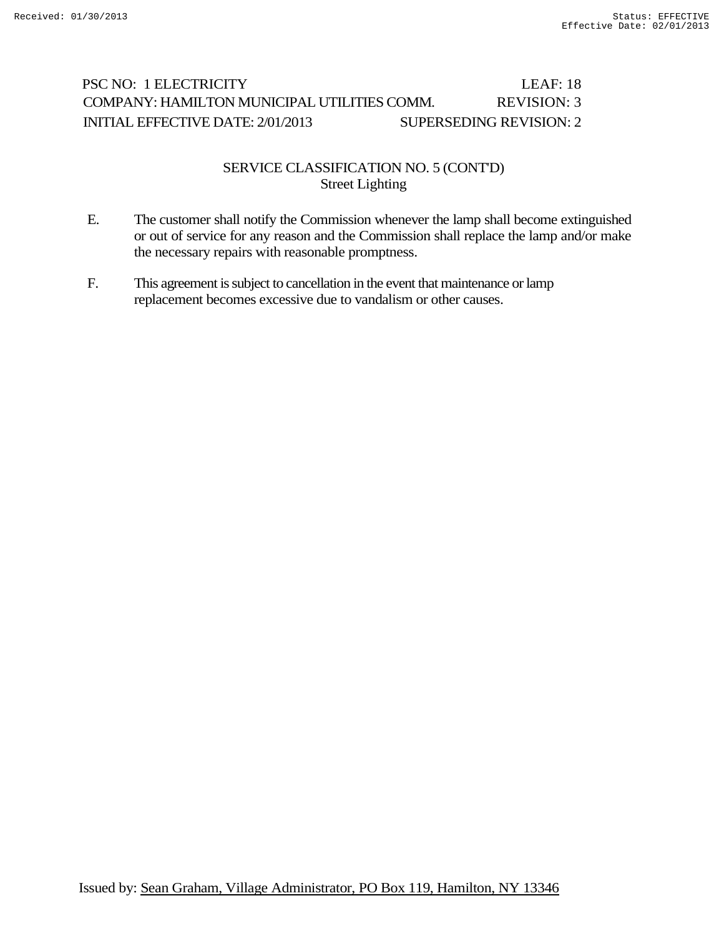# PSC NO: 1 ELECTRICITY LEAF: 18 COMPANY: HAMILTON MUNICIPAL UTILITIES COMM. REVISION: 3 INITIAL EFFECTIVE DATE: 2/01/2013 SUPERSEDING REVISION: 2

## SERVICE CLASSIFICATION NO. 5 (CONT'D) Street Lighting

- E. The customer shall notify the Commission whenever the lamp shall become extinguished or out of service for any reason and the Commission shall replace the lamp and/or make the necessary repairs with reasonable promptness.
- F. This agreement is subject to cancellation in the event that maintenance or lamp replacement becomes excessive due to vandalism or other causes.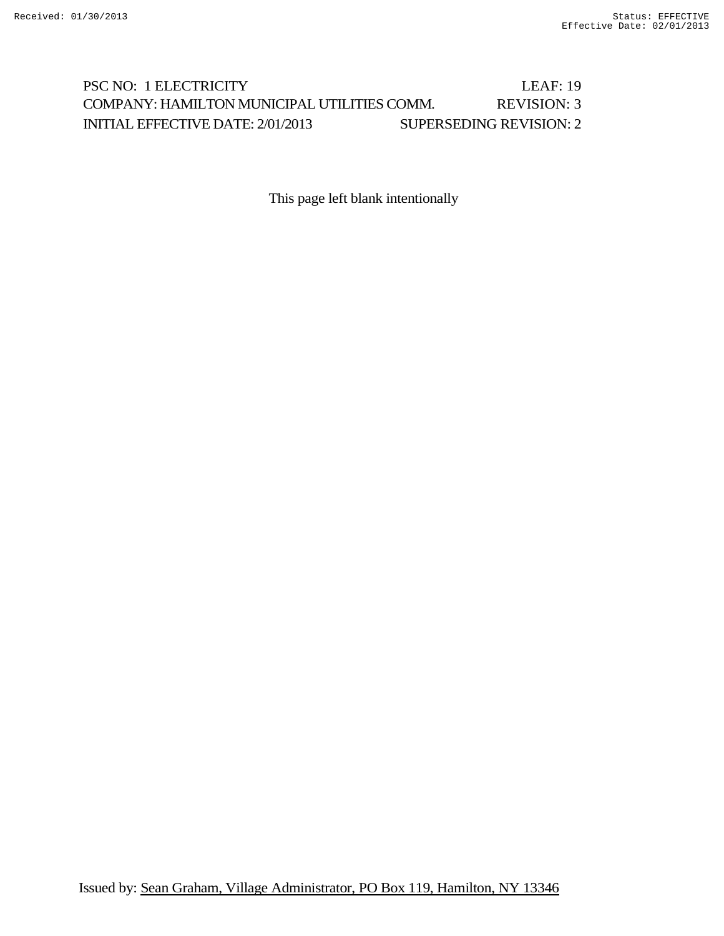# PSC NO: 1 ELECTRICITY LEAF: 19 COMPANY: HAMILTON MUNICIPAL UTILITIES COMM. REVISION: 3 INITIAL EFFECTIVE DATE: 2/01/2013 SUPERSEDING REVISION: 2

This page left blank intentionally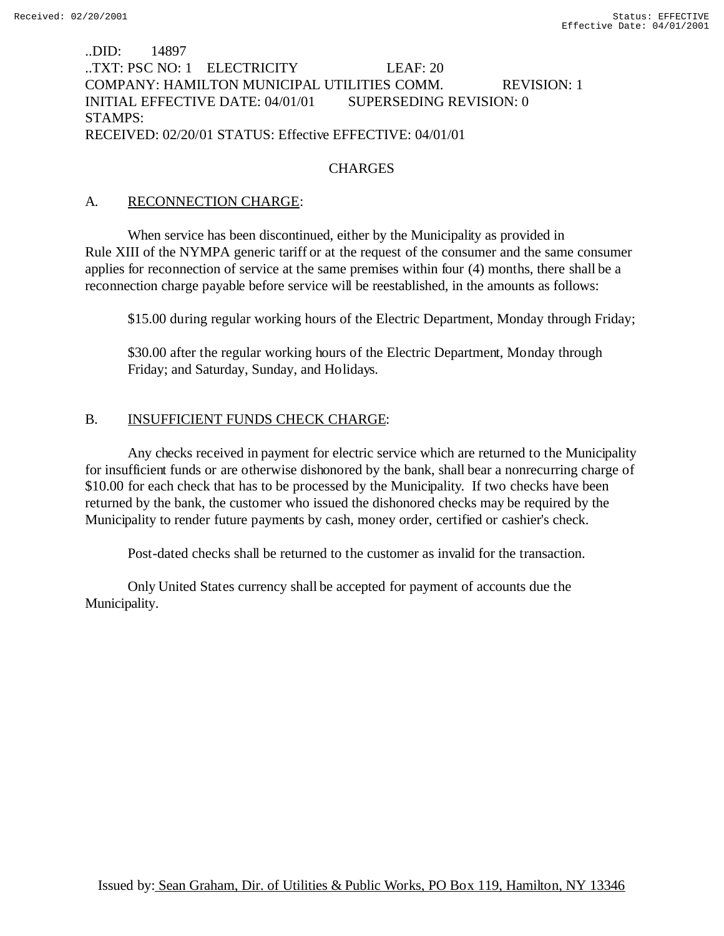## ..DID: 14897 ..TXT: PSC NO: 1 ELECTRICITY LEAF: 20 COMPANY: HAMILTON MUNICIPAL UTILITIES COMM. REVISION: 1 INITIAL EFFECTIVE DATE: 04/01/01 SUPERSEDING REVISION: 0 STAMPS: RECEIVED: 02/20/01 STATUS: Effective EFFECTIVE: 04/01/01

#### **CHARGES**

### A. RECONNECTION CHARGE:

When service has been discontinued, either by the Municipality as provided in Rule XIII of the NYMPA generic tariff or at the request of the consumer and the same consumer applies for reconnection of service at the same premises within four (4) months, there shall be a reconnection charge payable before service will be reestablished, in the amounts as follows:

\$15.00 during regular working hours of the Electric Department, Monday through Friday;

\$30.00 after the regular working hours of the Electric Department, Monday through Friday; and Saturday, Sunday, and Holidays.

## B. INSUFFICIENT FUNDS CHECK CHARGE:

Any checks received in payment for electric service which are returned to the Municipality for insufficient funds or are otherwise dishonored by the bank, shall bear a nonrecurring charge of \$10.00 for each check that has to be processed by the Municipality. If two checks have been returned by the bank, the customer who issued the dishonored checks may be required by the Municipality to render future payments by cash, money order, certified or cashier's check.

Post-dated checks shall be returned to the customer as invalid for the transaction.

Only United States currency shall be accepted for payment of accounts due the Municipality.